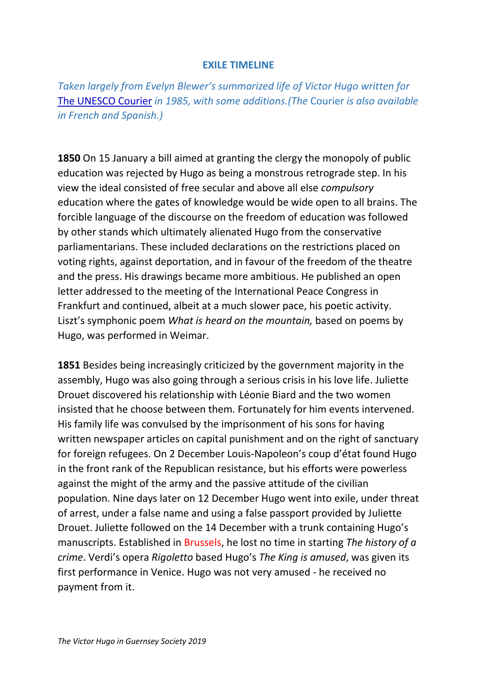## **EXILE TIMELINE**

*Taken largely from Evelyn Blewer's summarized life of Victor Hugo written for*  [The UNESCO Courier](https://unesdoc.unesco.org/ark:/48223/pf0000066943) *in 1985, with some additions.(The* Courier *is also available in French and Spanish.)*

**1850** On 15 January a bill aimed at granting the clergy the monopoly of public education was rejected by Hugo as being a monstrous retrograde step. In his view the ideal consisted of free secular and above all else *compulsory* education where the gates of knowledge would be wide open to all brains. The forcible language of the discourse on the freedom of education was followed by other stands which ultimately alienated Hugo from the conservative parliamentarians. These included declarations on the restrictions placed on voting rights, against deportation, and in favour of the freedom of the theatre and the press. His drawings became more ambitious. He published an open letter addressed to the meeting of the International Peace Congress in Frankfurt and continued, albeit at a much slower pace, his poetic activity. Liszt's symphonic poem *What is heard on the mountain,* based on poems by Hugo, was performed in Weimar.

**1851** Besides being increasingly criticized by the government majority in the assembly, Hugo was also going through a serious crisis in his love life. Juliette Drouet discovered his relationship with Léonie Biard and the two women insisted that he choose between them. Fortunately for him events intervened. His family life was convulsed by the imprisonment of his sons for having written newspaper articles on capital punishment and on the right of sanctuary for foreign refugees. On 2 December Louis-Napoleon's coup d'état found Hugo in the front rank of the Republican resistance, but his efforts were powerless against the might of the army and the passive attitude of the civilian population. Nine days later on 12 December Hugo went into exile, under threat of arrest, under a false name and using a false passport provided by Juliette Drouet. Juliette followed on the 14 December with a trunk containing Hugo's manuscripts. Established in Brussels, he lost no time in starting *The history of a crime*. Verdi's opera *Rigoletto* based Hugo's *The King is amused*, was given its first performance in Venice. Hugo was not very amused - he received no payment from it.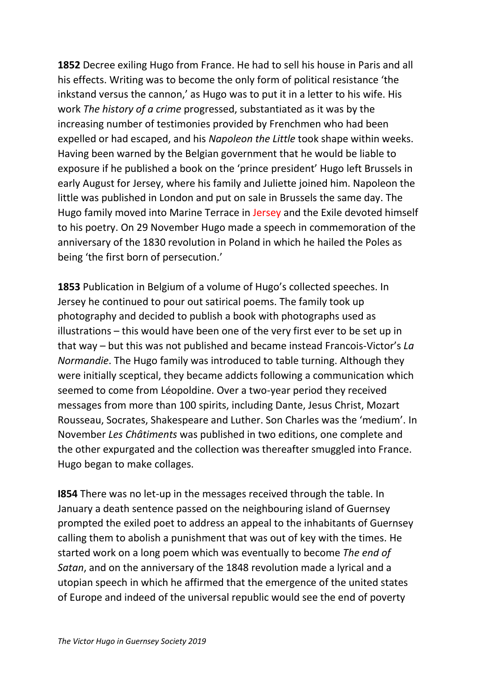**1852** Decree exiling Hugo from France. He had to sell his house in Paris and all his effects. Writing was to become the only form of political resistance 'the inkstand versus the cannon,' as Hugo was to put it in a letter to his wife. His work *The history of a crime* progressed, substantiated as it was by the increasing number of testimonies provided by Frenchmen who had been expelled or had escaped, and his *Napoleon the Little* took shape within weeks. Having been warned by the Belgian government that he would be liable to exposure if he published a book on the 'prince president' Hugo left Brussels in early August for Jersey, where his family and Juliette joined him. Napoleon the little was published in London and put on sale in Brussels the same day. The Hugo family moved into Marine Terrace in Jersey and the Exile devoted himself to his poetry. On 29 November Hugo made a speech in commemoration of the anniversary of the 1830 revolution in Poland in which he hailed the Poles as being 'the first born of persecution.'

**1853** Publication in Belgium of a volume of Hugo's collected speeches. In Jersey he continued to pour out satirical poems. The family took up photography and decided to publish a book with photographs used as illustrations – this would have been one of the very first ever to be set up in that way – but this was not published and became instead Francois-Victor's *La Normandie*. The Hugo family was introduced to table turning. Although they were initially sceptical, they became addicts following a communication which seemed to come from Léopoldine. Over a two-year period they received messages from more than 100 spirits, including Dante, Jesus Christ, Mozart Rousseau, Socrates, Shakespeare and Luther. Son Charles was the 'medium'. In November *Les Châtiments* was published in two editions, one complete and the other expurgated and the collection was thereafter smuggled into France. Hugo began to make collages.

**I854** There was no let-up in the messages received through the table. In January a death sentence passed on the neighbouring island of Guernsey prompted the exiled poet to address an appeal to the inhabitants of Guernsey calling them to abolish a punishment that was out of key with the times. He started work on a long poem which was eventually to become *The end of Satan*, and on the anniversary of the 1848 revolution made a lyrical and a utopian speech in which he affirmed that the emergence of the united states of Europe and indeed of the universal republic would see the end of poverty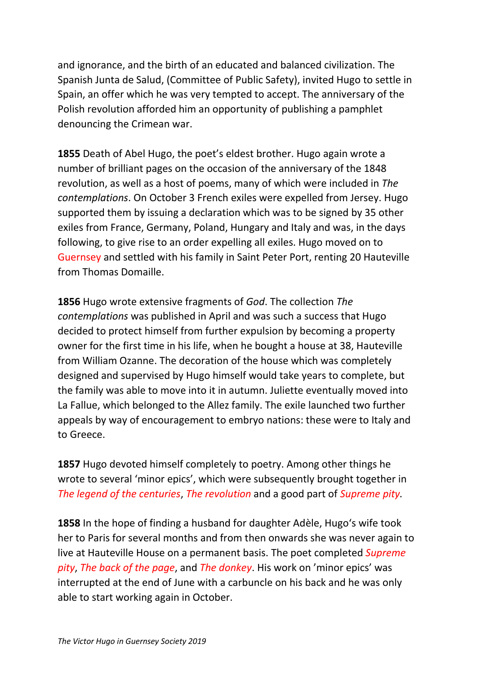and ignorance, and the birth of an educated and balanced civilization. The Spanish Junta de Salud, (Committee of Public Safety), invited Hugo to settle in Spain, an offer which he was very tempted to accept. The anniversary of the Polish revolution afforded him an opportunity of publishing a pamphlet denouncing the Crimean war.

**1855** Death of Abel Hugo, the poet's eldest brother. Hugo again wrote a number of brilliant pages on the occasion of the anniversary of the 1848 revolution, as well as a host of poems, many of which were included in *The contemplations*. On October 3 French exiles were expelled from Jersey. Hugo supported them by issuing a declaration which was to be signed by 35 other exiles from France, Germany, Poland, Hungary and Italy and was, in the days following, to give rise to an order expelling all exiles. Hugo moved on to Guernsey and settled with his family in Saint Peter Port, renting 20 Hauteville from Thomas Domaille.

**1856** Hugo wrote extensive fragments of *God*. The collection *The contemplations* was published in April and was such a success that Hugo decided to protect himself from further expulsion by becoming a property owner for the first time in his life, when he bought a house at 38, Hauteville from William Ozanne. The decoration of the house which was completely designed and supervised by Hugo himself would take years to complete, but the family was able to move into it in autumn. Juliette eventually moved into La Fallue, which belonged to the Allez family. The exile launched two further appeals by way of encouragement to embryo nations: these were to Italy and to Greece.

**1857** Hugo devoted himself completely to poetry. Among other things he wrote to several 'minor epics', which were subsequently brought together in *The legend of the centuries*, *The revolution* and a good part of *Supreme pity.*

**1858** In the hope of finding a husband for daughter Adèle, Hugo's wife took her to Paris for several months and from then onwards she was never again to live at Hauteville House on a permanent basis. The poet completed *Supreme pity*, *The back of the page*, and *The donkey*. His work on 'minor epics' was interrupted at the end of June with a carbuncle on his back and he was only able to start working again in October.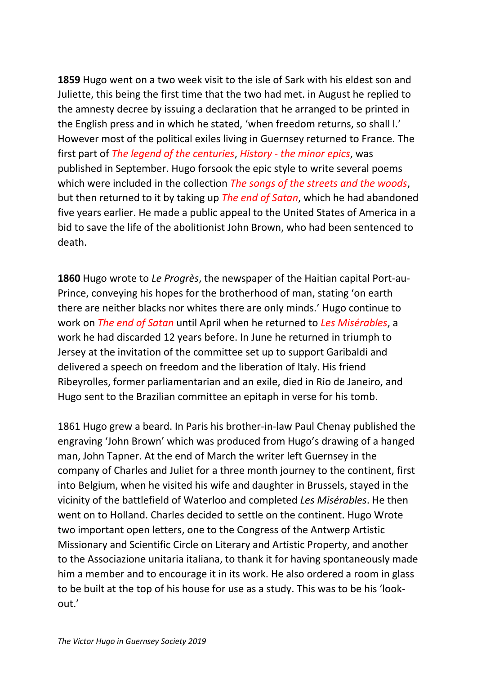**1859** Hugo went on a two week visit to the isle of Sark with his eldest son and Juliette, this being the first time that the two had met. in August he replied to the amnesty decree by issuing a declaration that he arranged to be printed in the English press and in which he stated, 'when freedom returns, so shall l.' However most of the political exiles living in Guernsey returned to France. The first part of *The legend of the centuries*, *History - the minor epics*, was published in September. Hugo forsook the epic style to write several poems which were included in the collection *The songs of the streets and the woods*, but then returned to it by taking up *The end of Satan*, which he had abandoned five years earlier. He made a public appeal to the United States of America in a bid to save the life of the abolitionist John Brown, who had been sentenced to death.

**1860** Hugo wrote to *Le Progrès*, the newspaper of the Haitian capital Port-au-Prince, conveying his hopes for the brotherhood of man, stating 'on earth there are neither blacks nor whites there are only minds.' Hugo continue to work on *The end of Satan* until April when he returned to *Les Misérables*, a work he had discarded 12 years before. In June he returned in triumph to Jersey at the invitation of the committee set up to support Garibaldi and delivered a speech on freedom and the liberation of Italy. His friend Ribeyrolles, former parliamentarian and an exile, died in Rio de Janeiro, and Hugo sent to the Brazilian committee an epitaph in verse for his tomb.

1861 Hugo grew a beard. In Paris his brother-in-law Paul Chenay published the engraving 'John Brown' which was produced from Hugo's drawing of a hanged man, John Tapner. At the end of March the writer left Guernsey in the company of Charles and Juliet for a three month journey to the continent, first into Belgium, when he visited his wife and daughter in Brussels, stayed in the vicinity of the battlefield of Waterloo and completed *Les Misérables*. He then went on to Holland. Charles decided to settle on the continent. Hugo Wrote two important open letters, one to the Congress of the Antwerp Artistic Missionary and Scientific Circle on Literary and Artistic Property, and another to the Associazione unitaria italiana, to thank it for having spontaneously made him a member and to encourage it in its work. He also ordered a room in glass to be built at the top of his house for use as a study. This was to be his 'lookout.'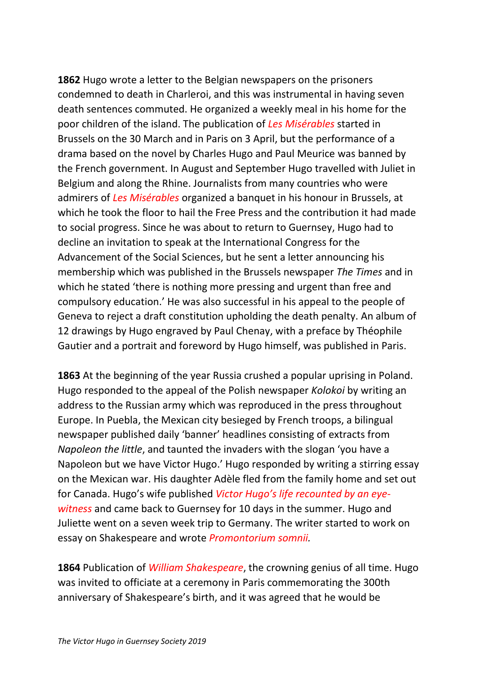**1862** Hugo wrote a letter to the Belgian newspapers on the prisoners condemned to death in Charleroi, and this was instrumental in having seven death sentences commuted. He organized a weekly meal in his home for the poor children of the island. The publication of *Les Misérables* started in Brussels on the 30 March and in Paris on 3 April, but the performance of a drama based on the novel by Charles Hugo and Paul Meurice was banned by the French government. In August and September Hugo travelled with Juliet in Belgium and along the Rhine. Journalists from many countries who were admirers of *Les Misérables* organized a banquet in his honour in Brussels, at which he took the floor to hail the Free Press and the contribution it had made to social progress. Since he was about to return to Guernsey, Hugo had to decline an invitation to speak at the International Congress for the Advancement of the Social Sciences, but he sent a letter announcing his membership which was published in the Brussels newspaper *The Times* and in which he stated 'there is nothing more pressing and urgent than free and compulsory education.' He was also successful in his appeal to the people of Geneva to reject a draft constitution upholding the death penalty. An album of 12 drawings by Hugo engraved by Paul Chenay, with a preface by Théophile Gautier and a portrait and foreword by Hugo himself, was published in Paris.

**1863** At the beginning of the year Russia crushed a popular uprising in Poland. Hugo responded to the appeal of the Polish newspaper *Kolokoi* by writing an address to the Russian army which was reproduced in the press throughout Europe. In Puebla, the Mexican city besieged by French troops, a bilingual newspaper published daily 'banner' headlines consisting of extracts from *Napoleon the little*, and taunted the invaders with the slogan 'you have a Napoleon but we have Victor Hugo.' Hugo responded by writing a stirring essay on the Mexican war. His daughter Adèle fled from the family home and set out for Canada. Hugo's wife published *Victor Hugo's life recounted by an eyewitness* and came back to Guernsey for 10 days in the summer. Hugo and Juliette went on a seven week trip to Germany. The writer started to work on essay on Shakespeare and wrote *Promontorium somnii.*

**1864** Publication of *William Shakespeare*, the crowning genius of all time. Hugo was invited to officiate at a ceremony in Paris commemorating the 300th anniversary of Shakespeare's birth, and it was agreed that he would be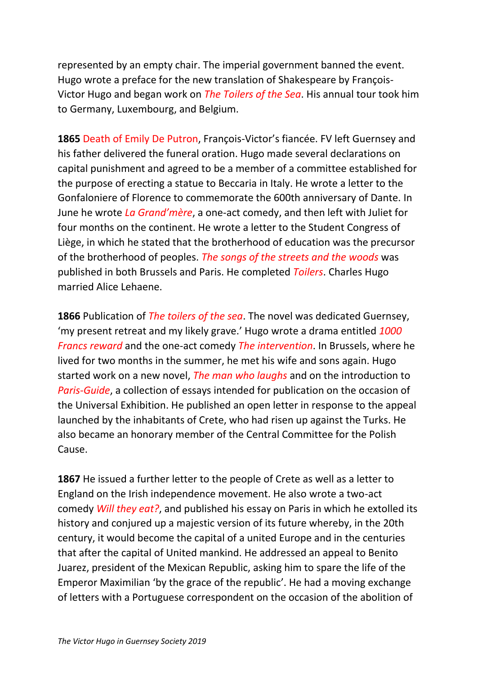represented by an empty chair. The imperial government banned the event. Hugo wrote a preface for the new translation of Shakespeare by François-Victor Hugo and began work on *The Toilers of the Sea*. His annual tour took him to Germany, Luxembourg, and Belgium.

**1865** Death of Emily De Putron, François-Victor's fiancée. FV left Guernsey and his father delivered the funeral oration. Hugo made several declarations on capital punishment and agreed to be a member of a committee established for the purpose of erecting a statue to Beccaria in Italy. He wrote a letter to the Gonfaloniere of Florence to commemorate the 600th anniversary of Dante. In June he wrote *La Grand'mère*, a one-act comedy, and then left with Juliet for four months on the continent. He wrote a letter to the Student Congress of Liège, in which he stated that the brotherhood of education was the precursor of the brotherhood of peoples. *The songs of the streets and the woods* was published in both Brussels and Paris. He completed *Toilers*. Charles Hugo married Alice Lehaene.

**1866** Publication of *The toilers of the sea*. The novel was dedicated Guernsey, 'my present retreat and my likely grave.' Hugo wrote a drama entitled *1000 Francs reward* and the one-act comedy *The intervention*. In Brussels, where he lived for two months in the summer, he met his wife and sons again. Hugo started work on a new novel, *The man who laughs* and on the introduction to *Paris-Guide*, a collection of essays intended for publication on the occasion of the Universal Exhibition. He published an open letter in response to the appeal launched by the inhabitants of Crete, who had risen up against the Turks. He also became an honorary member of the Central Committee for the Polish Cause.

**1867** He issued a further letter to the people of Crete as well as a letter to England on the Irish independence movement. He also wrote a two-act comedy *Will they eat?*, and published his essay on Paris in which he extolled its history and conjured up a majestic version of its future whereby, in the 20th century, it would become the capital of a united Europe and in the centuries that after the capital of United mankind. He addressed an appeal to Benito Juarez, president of the Mexican Republic, asking him to spare the life of the Emperor Maximilian 'by the grace of the republic'. He had a moving exchange of letters with a Portuguese correspondent on the occasion of the abolition of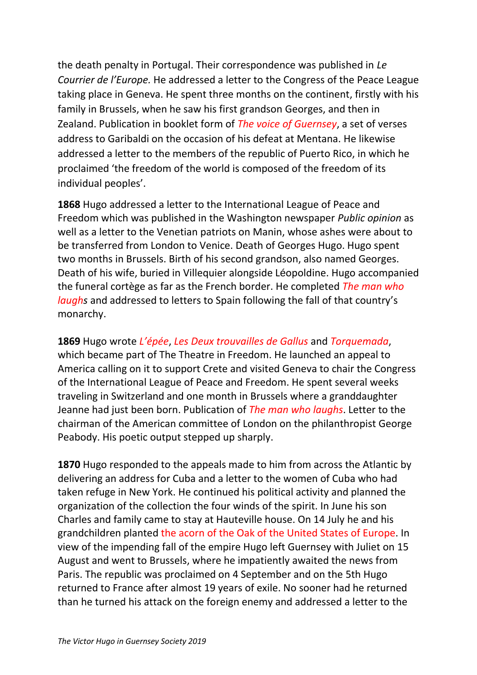the death penalty in Portugal. Their correspondence was published in *Le Courrier de l'Europe.* He addressed a letter to the Congress of the Peace League taking place in Geneva. He spent three months on the continent, firstly with his family in Brussels, when he saw his first grandson Georges, and then in Zealand. Publication in booklet form of *The voice of Guernsey*, a set of verses address to Garibaldi on the occasion of his defeat at Mentana. He likewise addressed a letter to the members of the republic of Puerto Rico, in which he proclaimed 'the freedom of the world is composed of the freedom of its individual peoples'.

**1868** Hugo addressed a letter to the International League of Peace and Freedom which was published in the Washington newspaper *Public opinion* as well as a letter to the Venetian patriots on Manin, whose ashes were about to be transferred from London to Venice. Death of Georges Hugo. Hugo spent two months in Brussels. Birth of his second grandson, also named Georges. Death of his wife, buried in Villequier alongside Léopoldine. Hugo accompanied the funeral cortège as far as the French border. He completed *The man who laughs* and addressed to letters to Spain following the fall of that country's monarchy.

**1869** Hugo wrote *L'épée*, *Les Deux trouvailles de Gallus* and *Torquemada*, which became part of The Theatre in Freedom. He launched an appeal to America calling on it to support Crete and visited Geneva to chair the Congress of the International League of Peace and Freedom. He spent several weeks traveling in Switzerland and one month in Brussels where a granddaughter Jeanne had just been born. Publication of *The man who laughs*. Letter to the chairman of the American committee of London on the philanthropist George Peabody. His poetic output stepped up sharply.

**1870** Hugo responded to the appeals made to him from across the Atlantic by delivering an address for Cuba and a letter to the women of Cuba who had taken refuge in New York. He continued his political activity and planned the organization of the collection the four winds of the spirit. In June his son Charles and family came to stay at Hauteville house. On 14 July he and his grandchildren planted the acorn of the Oak of the United States of Europe. In view of the impending fall of the empire Hugo left Guernsey with Juliet on 15 August and went to Brussels, where he impatiently awaited the news from Paris. The republic was proclaimed on 4 September and on the 5th Hugo returned to France after almost 19 years of exile. No sooner had he returned than he turned his attack on the foreign enemy and addressed a letter to the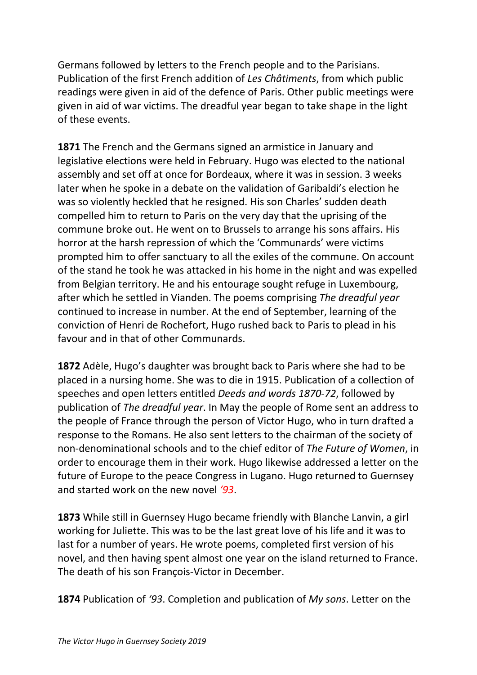Germans followed by letters to the French people and to the Parisians. Publication of the first French addition of *Les Châtiments*, from which public readings were given in aid of the defence of Paris. Other public meetings were given in aid of war victims. The dreadful year began to take shape in the light of these events.

**1871** The French and the Germans signed an armistice in January and legislative elections were held in February. Hugo was elected to the national assembly and set off at once for Bordeaux, where it was in session. 3 weeks later when he spoke in a debate on the validation of Garibaldi's election he was so violently heckled that he resigned. His son Charles' sudden death compelled him to return to Paris on the very day that the uprising of the commune broke out. He went on to Brussels to arrange his sons affairs. His horror at the harsh repression of which the 'Communards' were victims prompted him to offer sanctuary to all the exiles of the commune. On account of the stand he took he was attacked in his home in the night and was expelled from Belgian territory. He and his entourage sought refuge in Luxembourg, after which he settled in Vianden. The poems comprising *The dreadful year* continued to increase in number. At the end of September, learning of the conviction of Henri de Rochefort, Hugo rushed back to Paris to plead in his favour and in that of other Communards.

**1872** Adèle, Hugo's daughter was brought back to Paris where she had to be placed in a nursing home. She was to die in 1915. Publication of a collection of speeches and open letters entitled *Deeds and words 1870-72*, followed by publication of *The dreadful year*. In May the people of Rome sent an address to the people of France through the person of Victor Hugo, who in turn drafted a response to the Romans. He also sent letters to the chairman of the society of non-denominational schools and to the chief editor of *The Future of Women*, in order to encourage them in their work. Hugo likewise addressed a letter on the future of Europe to the peace Congress in Lugano. Hugo returned to Guernsey and started work on the new novel *'93*.

**1873** While still in Guernsey Hugo became friendly with Blanche Lanvin, a girl working for Juliette. This was to be the last great love of his life and it was to last for a number of years. He wrote poems, completed first version of his novel, and then having spent almost one year on the island returned to France. The death of his son François-Victor in December.

**1874** Publication of *'93*. Completion and publication of *My sons*. Letter on the